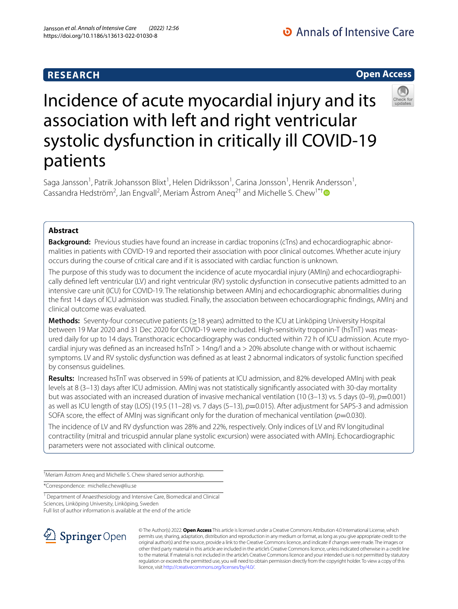# **RESEARCH**

O Annals of Intensive Care

# **Open Access**



# Incidence of acute myocardial injury and its association with left and right ventricular systolic dysfunction in critically ill COVID-19 patients

Saga Jansson<sup>1</sup>, Patrik Johansson Blixt<sup>1</sup>, Helen Didriksson<sup>1</sup>, Carina Jonsson<sup>1</sup>, Henrik Andersson<sup>1</sup>, Cassandra Hedström<sup>2</sup>, Jan Engvall<sup>2</sup>, Meriam Åstrom Aneq<sup>2†</sup> and Michelle S. Chew<sup>1\*†</sup>

# **Abstract**

**Background:** Previous studies have found an increase in cardiac troponins (cTns) and echocardiographic abnormalities in patients with COVID-19 and reported their association with poor clinical outcomes. Whether acute injury occurs during the course of critical care and if it is associated with cardiac function is unknown.

The purpose of this study was to document the incidence of acute myocardial injury (AMInj) and echocardiographically defned left ventricular (LV) and right ventricular (RV) systolic dysfunction in consecutive patients admitted to an intensive care unit (ICU) for COVID-19. The relationship between AMInj and echocardiographic abnormalities during the frst 14 days of ICU admission was studied. Finally, the association between echocardiographic fndings, AMInj and clinical outcome was evaluated.

**Methods:** Seventy-four consecutive patients (≥18 years) admitted to the ICU at Linköping University Hospital between 19 Mar 2020 and 31 Dec 2020 for COVID-19 were included. High-sensitivity troponin-T (hsTnT) was measured daily for up to 14 days. Transthoracic echocardiography was conducted within 72 h of ICU admission. Acute myocardial injury was defned as an increased hsTnT > 14ng/l and a > 20% absolute change with or without ischaemic symptoms. LV and RV systolic dysfunction was defned as at least 2 abnormal indicators of systolic function specifed by consensus guidelines.

**Results:** Increased hsTnT was observed in 59% of patients at ICU admission, and 82% developed AMInj with peak levels at 8 (3–13) days after ICU admission. AMInj was not statistically signifcantly associated with 30-day mortality but was associated with an increased duration of invasive mechanical ventilation (10 (3–13) vs. 5 days (0–9), *p*=0.001) as well as ICU length of stay (LOS) (19.5 (11–28) vs. 7 days (5–13),  $p=0.015$ ). After adjustment for SAPS-3 and admission SOFA score, the effect of AMInj was significant only for the duration of mechanical ventilation ( $p=0.030$ ).

The incidence of LV and RV dysfunction was 28% and 22%, respectively. Only indices of LV and RV longitudinal contractility (mitral and tricuspid annular plane systolic excursion) were associated with AMInj. Echocardiographic parameters were not associated with clinical outcome.

† Meriam Åstrom Aneq and Michelle S. Chew shared senior authorship.

\*Correspondence: michelle.chew@liu.se

<sup>1</sup> Department of Anaesthesiology and Intensive Care, Biomedical and Clinical Sciences, Linköping University, Linköping, Sweden

Full list of author information is available at the end of the article



© The Author(s) 2022. **Open Access** This article is licensed under a Creative Commons Attribution 4.0 International License, which permits use, sharing, adaptation, distribution and reproduction in any medium or format, as long as you give appropriate credit to the original author(s) and the source, provide a link to the Creative Commons licence, and indicate if changes were made. The images or other third party material in this article are included in the article's Creative Commons licence, unless indicated otherwise in a credit line to the material. If material is not included in the article's Creative Commons licence and your intended use is not permitted by statutory regulation or exceeds the permitted use, you will need to obtain permission directly from the copyright holder. To view a copy of this licence, visit [http://creativecommons.org/licenses/by/4.0/.](http://creativecommons.org/licenses/by/4.0/)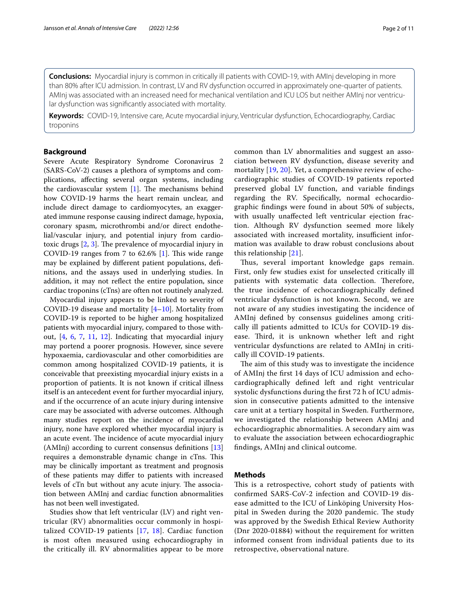**Conclusions:** Myocardial injury is common in critically ill patients with COVID-19, with AMInj developing in more than 80% after ICU admission. In contrast, LV and RV dysfunction occurred in approximately one-quarter of patients. AMInj was associated with an increased need for mechanical ventilation and ICU LOS but neither AMInj nor ventricular dysfunction was signifcantly associated with mortality.

**Keywords:** COVID-19, Intensive care, Acute myocardial injury, Ventricular dysfunction, Echocardiography, Cardiac troponins

## **Background**

Severe Acute Respiratory Syndrome Coronavirus 2 (SARS-CoV-2) causes a plethora of symptoms and complications, afecting several organ systems, including the cardiovascular system  $[1]$  $[1]$ . The mechanisms behind how COVID-19 harms the heart remain unclear, and include direct damage to cardiomyocytes, an exaggerated immune response causing indirect damage, hypoxia, coronary spasm, microthrombi and/or direct endothelial/vascular injury, and potential injury from cardiotoxic drugs  $[2, 3]$  $[2, 3]$  $[2, 3]$  $[2, 3]$ . The prevalence of myocardial injury in COVID-19 ranges from 7 to  $62.6\%$  [\[1\]](#page-9-0). This wide range may be explained by diferent patient populations, defnitions, and the assays used in underlying studies. In addition, it may not refect the entire population, since cardiac troponins (cTns) are often not routinely analyzed.

Myocardial injury appears to be linked to severity of COVID-19 disease and mortality [[4](#page-9-3)[–10](#page-9-4)]. Mortality from COVID-19 is reported to be higher among hospitalized patients with myocardial injury, compared to those without, [\[4](#page-9-3), [6,](#page-9-5) [7,](#page-9-6) [11](#page-9-7), [12\]](#page-9-8). Indicating that myocardial injury may portend a poorer prognosis. However, since severe hypoxaemia, cardiovascular and other comorbidities are common among hospitalized COVID-19 patients, it is conceivable that preexisting myocardial injury exists in a proportion of patients. It is not known if critical illness itself is an antecedent event for further myocardial injury, and if the occurrence of an acute injury during intensive care may be associated with adverse outcomes. Although many studies report on the incidence of myocardial injury, none have explored whether myocardial injury is an acute event. The incidence of acute myocardial injury (AMInj) according to current consensus defnitions [[13](#page-9-9)] requires a demonstrable dynamic change in cTns. This may be clinically important as treatment and prognosis of these patients may difer to patients with increased levels of cTn but without any acute injury. The association between AMInj and cardiac function abnormalities has not been well investigated.

Studies show that left ventricular (LV) and right ventricular (RV) abnormalities occur commonly in hospitalized COVID-19 patients [[17](#page-9-10), [18\]](#page-9-11). Cardiac function is most often measured using echocardiography in the critically ill. RV abnormalities appear to be more common than LV abnormalities and suggest an association between RV dysfunction, disease severity and mortality [[19,](#page-9-12) [20\]](#page-9-13). Yet, a comprehensive review of echocardiographic studies of COVID-19 patients reported preserved global LV function, and variable fndings regarding the RV. Specifcally, normal echocardiographic fndings were found in about 50% of subjects, with usually unafected left ventricular ejection fraction. Although RV dysfunction seemed more likely associated with increased mortality, insufficient information was available to draw robust conclusions about this relationship [[21\]](#page-9-14).

Thus, several important knowledge gaps remain. First, only few studies exist for unselected critically ill patients with systematic data collection. Therefore, the true incidence of echocardiographically defned ventricular dysfunction is not known. Second, we are not aware of any studies investigating the incidence of AMInj defned by consensus guidelines among critically ill patients admitted to ICUs for COVID-19 disease. Third, it is unknown whether left and right ventricular dysfunctions are related to AMInj in critically ill COVID-19 patients.

The aim of this study was to investigate the incidence of AMInj the frst 14 days of ICU admission and echocardiographically defned left and right ventricular systolic dysfunctions during the frst 72 h of ICU admission in consecutive patients admitted to the intensive care unit at a tertiary hospital in Sweden. Furthermore, we investigated the relationship between AMInj and echocardiographic abnormalities. A secondary aim was to evaluate the association between echocardiographic fndings, AMInj and clinical outcome.

# **Methods**

This is a retrospective, cohort study of patients with confrmed SARS-CoV-2 infection and COVID-19 disease admitted to the ICU of Linköping University Hospital in Sweden during the 2020 pandemic. The study was approved by the Swedish Ethical Review Authority (Dnr 2020-01884) without the requirement for written informed consent from individual patients due to its retrospective, observational nature.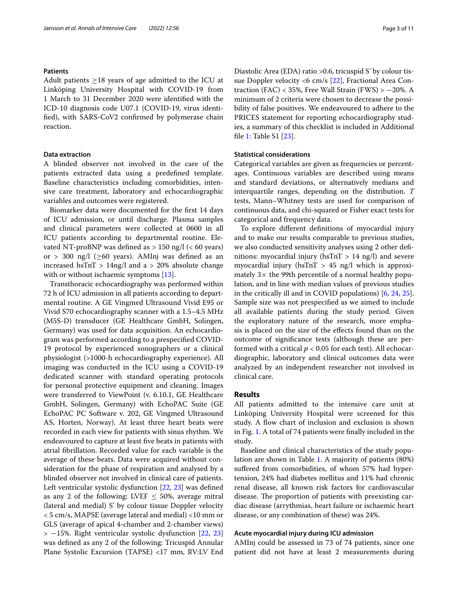## **Patients**

Adult patients ≥18 years of age admitted to the ICU at Linköping University Hospital with COVID-19 from 1 March to 31 December 2020 were identifed with the ICD-10 diagnosis code U07.1 (COVID-19, virus identifed), with SARS-CoV2 confrmed by polymerase chain reaction.

# **Data extraction**

A blinded observer not involved in the care of the patients extracted data using a predefned template. Baseline characteristics including comorbidities, intensive care treatment, laboratory and echocardiographic variables and outcomes were registered.

Biomarker data were documented for the frst 14 days of ICU admission, or until discharge. Plasma samples and clinical parameters were collected at 0600 in all ICU patients according to departmental routine. Elevated NT-proBNP was defined as  $> 150$  ng/l (< 60 years) or > 300 ng/l ( $\geq 60$  years). AMInj was defined as an increased hsTnT  $> 14$ ng/l and a  $> 20\%$  absolute change with or without ischaemic symptoms [\[13](#page-9-9)].

Transthoracic echocardiography was performed within 72 h of ICU admission in all patients according to departmental routine. A GE Vingmed Ultrasound Vivid E95 or Vivid S70 echocardiography scanner with a 1.5–4.5 MHz (M5S-D) transducer (GE Healthcare GmbH, Solingen, Germany) was used for data acquisition. An echocardiogram was performed according to a prespecifed COVID-19 protocol by experienced sonographers or a clinical physiologist (>1000-h echocardiography experience). All imaging was conducted in the ICU using a COVID-19 dedicated scanner with standard operating protocols for personal protective equipment and cleaning. Images were transferred to ViewPoint (v. 6.10.1, GE Healthcare GmbH, Solingen, Germany) with EchoPAC Suite (GE EchoPAC PC Software v. 202, GE Vingmed Ultrasound AS, Horten, Norway). At least three heart beats were recorded in each view for patients with sinus rhythm. We endeavoured to capture at least fve beats in patients with atrial fbrillation. Recorded value for each variable is the average of these beats. Data were acquired without consideration for the phase of respiration and analysed by a blinded observer not involved in clinical care of patients. Left ventricular systolic dysfunction [\[22,](#page-9-15) [23\]](#page-9-16) was defned as any 2 of the following: LVEF  $\leq$  50%, average mitral (lateral and medial) S' by colour tissue Doppler velocity < 5 cm/s, MAPSE (average lateral and medial) <10 mm or GLS (average of apical 4-chamber and 2-chamber views) > −15%. Right ventricular systolic dysfunction [\[22](#page-9-15), [23](#page-9-16)] was defned as any 2 of the following: Tricuspid Annular Plane Systolic Excursion (TAPSE) <17 mm, RV:LV End Diastolic Area (EDA) ratio >0.6, tricuspid Sʹ by colour tissue Doppler velocity <6 cm/s [\[22](#page-9-15)], Fractional Area Contraction (FAC) < 35%, Free Wall Strain (FWS) >  $-20\%$ . A minimum of 2 criteria were chosen to decrease the possibility of false positives. We endeavoured to adhere to the PRICES statement for reporting echocardiography studies, a summary of this checklist is included in Additional fle [1](#page-8-0): Table S1 [[23\]](#page-9-16).

# **Statistical considerations**

Categorical variables are given as frequencies or percentages. Continuous variables are described using means and standard deviations, or alternatively medians and interquartile ranges, depending on the distribution. *T* tests, Mann–Whitney tests are used for comparison of continuous data, and chi-squared or Fisher exact tests for categorical and frequency data.

To explore diferent defnitions of myocardial injury and to make our results comparable to previous studies, we also conducted sensitivity analyses using 2 other defnitions: myocardial injury ( $h s T n T > 14$  ng/l) and severe myocardial injury ( $h\overline{s}$ InT  $> 45$  ng/l which is approximately  $3\times$  the 99th percentile of a normal healthy population, and in line with median values of previous studies in the critically ill and in COVID populations) [\[6,](#page-9-5) [24,](#page-9-17) [25](#page-9-18)]. Sample size was not prespecifed as we aimed to include all available patients during the study period. Given the exploratory nature of the research, more emphasis is placed on the size of the efects found than on the outcome of signifcance tests (although these are performed with a critical *p* < 0.05 for each test). All echocardiographic, laboratory and clinical outcomes data were analyzed by an independent researcher not involved in clinical care.

# **Results**

All patients admitted to the intensive care unit at Linköping University Hospital were screened for this study. A flow chart of inclusion and exclusion is shown in Fig. [1.](#page-3-0) A total of 74 patients were fnally included in the study.

Baseline and clinical characteristics of the study population are shown in Table [1.](#page-4-0) A majority of patients (80%) suffered from comorbidities, of whom 57% had hypertension, 24% had diabetes mellitus and 11% had chronic renal disease, all known risk factors for cardiovascular disease. The proportion of patients with preexisting cardiac disease (arrythmias, heart failure or ischaemic heart disease, or any combination of these) was 24%.

### **Acute myocardial injury during ICU admission**

AMInj could be assessed in 73 of 74 patients, since one patient did not have at least 2 measurements during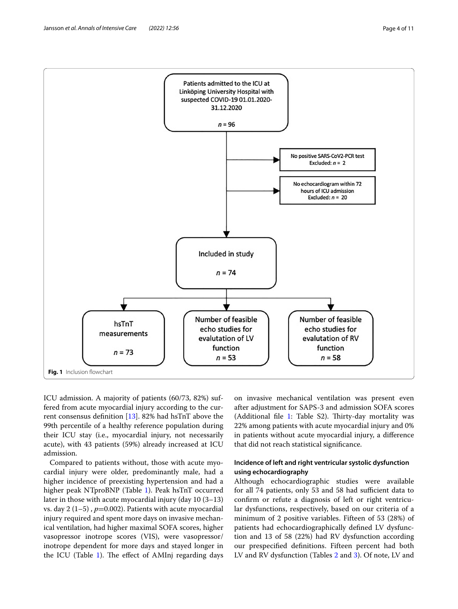

<span id="page-3-0"></span>ICU admission. A majority of patients (60/73, 82%) suffered from acute myocardial injury according to the current consensus defnition [[13](#page-9-9)]. 82% had hsTnT above the 99th percentile of a healthy reference population during their ICU stay (i.e., myocardial injury, not necessarily acute), with 43 patients (59%) already increased at ICU admission.

Compared to patients without, those with acute myocardial injury were older, predominantly male, had a higher incidence of preexisting hypertension and had a higher peak NTproBNP (Table [1\)](#page-4-0). Peak hsTnT occurred later in those with acute myocardial injury (day 10 (3–13) vs. day  $2(1-5)$ ,  $p=0.002$ ). Patients with acute myocardial injury required and spent more days on invasive mechanical ventilation, had higher maximal SOFA scores, higher vasopressor inotrope scores (VIS), were vasopressor/ inotrope dependent for more days and stayed longer in the ICU (Table  $1$ ). The effect of AMInj regarding days on invasive mechanical ventilation was present even after adjustment for SAPS-3 and admission SOFA scores (Additional file  $1$ : Table S2). Thirty-day mortality was 22% among patients with acute myocardial injury and 0% in patients without acute myocardial injury, a diference that did not reach statistical signifcance.

# **Incidence of left and right ventricular systolic dysfunction using echocardiography**

Although echocardiographic studies were available for all 74 patients, only 53 and 58 had sufficient data to confrm or refute a diagnosis of left or right ventricular dysfunctions, respectively, based on our criteria of a minimum of 2 positive variables. Fifteen of 53 (28%) of patients had echocardiographically defned LV dysfunction and 13 of 58 (22%) had RV dysfunction according our prespecifed defnitions. Fifteen percent had both LV and RV dysfunction (Tables [2](#page-5-0) and [3](#page-6-0)). Of note, LV and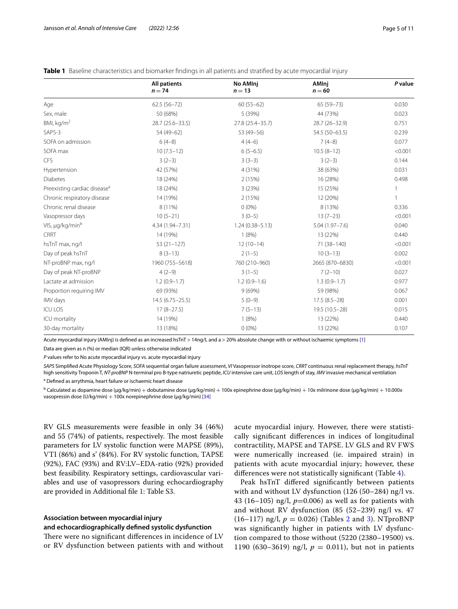*P* **value**

| <b>Table T</b> Dascille Characteristics and Diomarker midiritys in all patients and stratified by acute myocardial injury |                    |                   |  |  |
|---------------------------------------------------------------------------------------------------------------------------|--------------------|-------------------|--|--|
| All patients<br>$n = 74$                                                                                                  | No AMInj<br>$n=13$ | AMInj<br>$n = 60$ |  |  |
|                                                                                                                           |                    |                   |  |  |

<span id="page-4-0"></span>**Table 1** Baseline characteristics and biomarker fndings in all patients and stratifed by acute myocardial injury

| Age                                      | $62.5(56-72)$       | $60(55-62)$         | $65(59 - 73)$      | 0.030   |
|------------------------------------------|---------------------|---------------------|--------------------|---------|
| Sex, male                                | 50 (68%)            | 5 (39%)             | 44 (73%)           | 0.023   |
| BMI, $kg/m2$                             | 28.7 (25.6-33.5)    | 27.8 (25.4-35.7)    | 28.7 (26-32.9)     | 0.751   |
| SAPS-3                                   | 54 (49-62)          | 53 (49-56)          | 54.5 (50-63.5)     | 0.239   |
| SOFA on admission                        | $6(4-8)$            | $4(4-6)$            | $7(4-8)$           | 0.077   |
| SOFA max                                 | $10(7.5-12)$        | $6(5-6.5)$          | $10.5(8-12)$       | < 0.001 |
| <b>CFS</b>                               | $3(2-3)$            | $3(3-3)$            | $3(2-3)$           | 0.144   |
| Hypertension                             | 42 (57%)            | 4 (31%)             | 38 (63%)           | 0.031   |
| <b>Diabetes</b>                          | 18 (24%)            | 2(15%)              | 16 (28%)           | 0.498   |
| Preexisting cardiac disease <sup>a</sup> | 18 (24%)            | 3(23%)              | 15 (25%)           |         |
| Chronic respiratory disease              | 14 (19%)            | 2(15%)              | 12 (20%)           |         |
| Chronic renal disease                    | 8 (11%)             | $0(0\%)$            | 8 (13%)            | 0.336   |
| Vasopressor days                         | $10(5-21)$          | $3(0-5)$            | $13(7-23)$         | < 0.001 |
| VIS, µg/kg/minb                          | 4.34 (1.94-7.31)    | $1.24(0.38 - 5.13)$ | $5.04(1.97 - 7.6)$ | 0.040   |
| <b>CRRT</b>                              | 14 (19%)            | 1(8%)               | 13 (22%)           | 0.440   |
| hsTnT max, ng/l                          | $53(21-127)$        | $12(10-14)$         | 71 (38-140)        | < 0.001 |
| Day of peak hsTnT                        | $8(3-13)$           | $2(1-5)$            | $10(3-13)$         | 0.002   |
| NT-proBNP max, ng/l                      | 1960 (755-5618)     | 760 (210-960)       | 2665 (870-6830)    | < 0.001 |
| Day of peak NT-proBNP                    | $4(2-9)$            | $3(1-5)$            | $7(2-10)$          | 0.027   |
| Lactate at admission                     | $1.2(0.9-1.7)$      | $1.2(0.9-1.6)$      | $1.3(0.9-1.7)$     | 0.977   |
| Proportion requiring IMV                 | 69 (93%)            | 9(69%)              | 59 (98%)           | 0.067   |
| IMV days                                 | $14.5(6.75 - 25.5)$ | $5(0-9)$            | $17.5(8.5-28)$     | 0.001   |
| <b>ICU LOS</b>                           | $17(8-27.5)$        | $7(5-13)$           | 19.5 (10.5-28)     | 0.015   |
| ICU mortality                            | 14 (19%)            | 1(8%)               | 13 (22%)           | 0.440   |
| 30-day mortality                         | 13 (18%)            | $0(0\%)$            | 13 (22%)           | 0.107   |
|                                          |                     |                     |                    |         |

Acute myocardial injury (AMInj) is defned as an increased hsTnT > 14ng/L and a > 20% absolute change with or without ischaemic symptoms [[1](#page-9-0)]

Data are given as n (%) or median (IQR) unless otherwise indicated

*P* values refer to No acute myocardial injury vs. acute myocardial injury

*SAPS* Simplifed Acute Physiology Score, *SOFA* sequential organ failure assessment, *VI* Vasopressor inotrope score, *CRRT* continuous renal replacement therapy, *hsTnT* high sensitivity Troponin T, *NT-proBNP* N-terminal pro B-type natriuretic peptide, *ICU* intensive care unit, *LOS* length of stay, *IMV* invasive mechanical ventilation

<sup>a</sup> Defined as arrythmia, heart failure or ischaemic heart disease

 $^{\rm b}$  Calculated as dopamine dose (μg/kg/min)  $+$  dobutamine dose (μg/kg/min) + 100x epinephrine dose (μg/kg/min) + 10x milrinone dose (μg/kg/min) + 10.000x vasopressin dose (U/kg/min)  $+$  100x norepinephrine dose ( $\mu$ g/kg/min) [[34](#page-10-0)]

RV GLS measurements were feasible in only 34 (46%) and 55 (74%) of patients, respectively. The most feasible parameters for LV systolic function were MAPSE (89%), VTI (86%) and s' (84%). For RV systolic function, TAPSE (92%), FAC (93%) and RV:LV–EDA-ratio (92%) provided best feasibility. Respiratory settings, cardiovascular variables and use of vasopressors during echocardiography are provided in Additional fle [1](#page-8-0): Table S3.

# **Association between myocardial injury**

# **and echocardiographically defned systolic dysfunction**

There were no significant differences in incidence of LV or RV dysfunction between patients with and without acute myocardial injury. However, there were statistically signifcant diferences in indices of longitudinal contractility, MAPSE and TAPSE. LV GLS and RV FWS were numerically increased (ie. impaired strain) in patients with acute myocardial injury; however, these diferences were not statistically signifcant (Table [4\)](#page-6-1).

Peak hsTnT difered signifcantly between patients with and without LV dysfunction (126 (50–284) ng/l vs. 43 (16–105) ng/l,  $p=0.006$ ) as well as for patients with and without RV dysfunction (85 (52–239) ng/l vs. 47  $(16–117)$  ng/l,  $p = 0.026$  $p = 0.026$  $p = 0.026$ ) (Tables 2 and [3](#page-6-0)). NTproBNP was signifcantly higher in patients with LV dysfunction compared to those without (5220 (2380–19500) vs. 1190 (630–3619) ng/l,  $p = 0.011$ ), but not in patients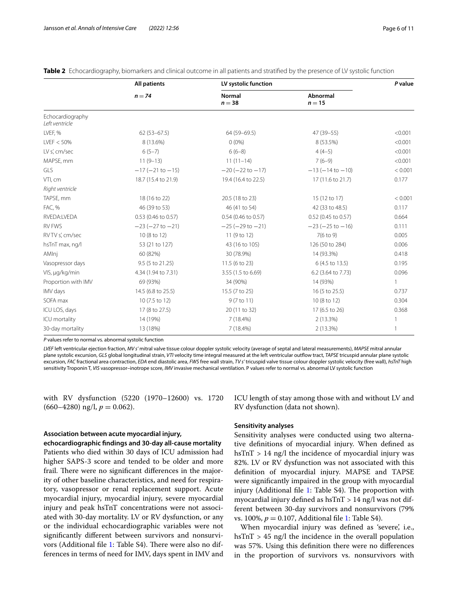|                                    | <b>All patients</b><br>$n = 74$ | LV systolic function      |                          | P value      |
|------------------------------------|---------------------------------|---------------------------|--------------------------|--------------|
|                                    |                                 | <b>Normal</b><br>$n = 38$ | Abnormal<br>$n = 15$     |              |
| Echocardiography<br>Left ventricle |                                 |                           |                          |              |
| LVEF, %                            | $62(53-67.5)$                   | 64 (59-69.5)              | 47 (39-55)               | < 0.001      |
| LVEF < 50%                         | 8 (13.6%)                       | $0(0\%)$                  | 8 (53.5%)                | < 0.001      |
| LV s', cm/sec                      | $6(5-7)$                        | $6(6-8)$                  | $4(4-5)$                 | < 0.001      |
| MAPSE, mm                          | $11(9-13)$                      | $11(11-14)$               | $7(6-9)$                 | < 0.001      |
| GLS                                | $-17(-21$ to $-15)$             | $-20 (-22 to -17)$        | $-13(-14$ to $-10)$      | < 0.001      |
| VTI, cm                            | 18.7 (15.4 to 21.9)             | 19.4 (16.4 to 22.5)       | 17 (11.6 to 21.7)        | 0.177        |
| Right ventricle                    |                                 |                           |                          |              |
| TAPSE, mm                          | 18 (16 to 22)                   | 20.5 (18 to 23)           | 15 (12 to 17)            | < 0.001      |
| FAC, %                             | 46 (39 to 53)                   | 46 (41 to 54)             | 42 (33 to 48.5)          | 0.117        |
| RVEDA:LVEDA                        | 0.53 (0.46 to 0.57)             | 0.54 (0.46 to 0.57)       | 0.52 (0.45 to 0.57)      | 0.664        |
| <b>RV FWS</b>                      | $-23(-27$ to $-21)$             | $-25(-29$ to $-21)$       | $-23$ ( $-25$ to $-16$ ) | 0.111        |
| RVTV s', cm/sec                    | 10 (8 to 12)                    | 11 (9 to 12)              | $7(6 \text{ to } 9)$     | 0.005        |
| hsTnT max, ng/l                    | 53 (21 to 127)                  | 43 (16 to 105)            | 126 (50 to 284)          | 0.006        |
| AMInj                              | 60 (82%)                        | 30 (78.9%)                | 14 (93.3%)               | 0.418        |
| Vasopressor days                   | 9.5 (5 to 21.25)                | 11.5 (6 to 23)            | 6 (4.5 to 13.5)          | 0.195        |
| VIS, µg/kg/min                     | 4.34 (1.94 to 7.31)             | 3.55 (1.5 to 6.69)        | 6.2 (3.64 to 7.73)       | 0.096        |
| Proportion with IMV                | 69 (93%)                        | 34 (90%)                  | 14 (93%)                 | $\mathbf{1}$ |
| IMV days                           | 14.5 (6.8 to 25.5)              | 15.5 (7 to 25)            | 16 (5 to 25.5)           | 0.737        |
| SOFA max                           | 10 (7.5 to 12)                  | 9 (7 to 11)               | 10 (8 to 12)             | 0.304        |
| ICU LOS, days                      | 17 (8 to 27.5)                  | 20 (11 to 32)             | 17 (6.5 to 26)           | 0.368        |
| ICU mortality                      | 14 (19%)                        | $7(18.4\%)$               | 2 (13.3%)                | $\mathbf{1}$ |
| 30-day mortality                   | 13 (18%)                        | 7 (18.4%)                 | 2 (13.3%)                |              |

<span id="page-5-0"></span>**Table 2** Echocardiography, biomarkers and clinical outcome in all patients and stratified by the presence of LV systolic function

*P* values refer to normal vs. abnormal systolic function

*LVEF* left ventricular ejection fraction, *MV s'* mitral valve tissue colour doppler systolic velocity (average of septal and lateral measurements), *MAPSE* mitral annular plane systolic excursion, *GLS* global longitudinal strain, *VTI* velocity time integral measured at the left ventricular outfow tract, *TAPSE* tricuspid annular plane systolic excursion, *FAC* fractional area contraction, *EDA* end diastolic area, *FWS* free wall strain, *TV s'* tricuspid valve tissue colour doppler systolic velocity (free wall), *hsTnT* high sensitivity Troponin T, *VIS* vasopressor–inotrope score, *IMV* invasive mechanical ventilation. P values refer to normal vs. abnormal LV systolic function

with RV dysfunction (5220 (1970–12600) vs. 1720  $(660-4280)$  ng/l,  $p = 0.062$ ).

# **Association between acute myocardial injury,**

**echocardiographic fndings and 30‑day all‑cause mortality** Patients who died within 30 days of ICU admission had higher SAPS-3 score and tended to be older and more frail. There were no significant differences in the majority of other baseline characteristics, and need for respiratory, vasopressor or renal replacement support. Acute myocardial injury, myocardial injury, severe myocardial injury and peak hsTnT concentrations were not associated with 30-day mortality. LV or RV dysfunction, or any or the individual echocardiographic variables were not signifcantly diferent between survivors and nonsurvi-vors (Additional file [1:](#page-8-0) Table S4). There were also no differences in terms of need for IMV, days spent in IMV and

ICU length of stay among those with and without LV and RV dysfunction (data not shown).

#### **Sensitivity analyses**

Sensitivity analyses were conducted using two alternative defnitions of myocardial injury. When defned as hsTnT  $> 14$  ng/l the incidence of myocardial injury was 82%. LV or RV dysfunction was not associated with this defnition of myocardial injury. MAPSE and TAPSE were signifcantly impaired in the group with myocardial injury (Additional file  $1$ : Table S4). The proportion with myocardial injury defned as hsTnT > 14 ng/l was not different between 30-day survivors and nonsurvivors (79% vs. 100%, *p* = 0.107, Additional fle [1](#page-8-0): Table S4).

When myocardial injury was defned as 'severe', i.e., hsTnT > 45 ng/l the incidence in the overall population was 57%. Using this defnition there were no diferences in the proportion of survivors vs. nonsurvivors with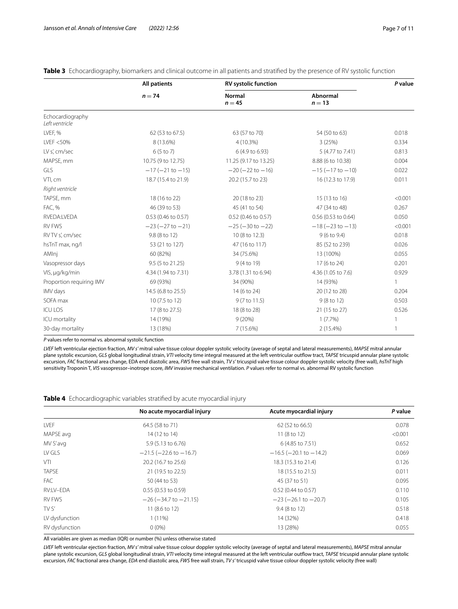|                                    | <b>All patients</b>      | <b>RV systolic function</b> |                             | P value |
|------------------------------------|--------------------------|-----------------------------|-----------------------------|---------|
|                                    | $n = 74$                 | <b>Normal</b><br>$n = 45$   | <b>Abnormal</b><br>$n = 13$ |         |
| Echocardiography<br>Left ventricle |                          |                             |                             |         |
| LVEF, %                            | 62 (53 to 67.5)          | 63 (57 to 70)               | 54 (50 to 63)               | 0.018   |
| LVEF < 50%                         | 8 (13.6%)                | 4 (10.3%)                   | 3(25%)                      | 0.334   |
| LV s', cm/sec                      | 6(5 to 7)                | 6 (4.9 to 6.93)             | 5 (4.77 to 7.41)            | 0.813   |
| MAPSE, mm                          | 10.75 (9 to 12.75)       | 11.25 (9.17 to 13.25)       | 8.88 (6 to 10.38)           | 0.004   |
| <b>GLS</b>                         | $-17$ ( $-21$ to $-15$ ) | $-20 (-22 to -16)$          | $-15(-17$ to $-10$ )        | 0.022   |
| VTI, cm                            | 18.7 (15.4 to 21.9)      | 20.2 (15.7 to 23)           | 16 (12.3 to 17.9)           | 0.011   |
| Right ventricle                    |                          |                             |                             |         |
| TAPSE, mm                          | 18 (16 to 22)            | 20 (18 to 23)               | 15 (13 to 16)               | < 0.001 |
| FAC, %                             | 46 (39 to 53)            | 45 (41 to 54)               | 47 (34 to 48)               | 0.267   |
| RVEDA:LVEDA                        | 0.53 (0.46 to 0.57)      | 0.52 (0.46 to 0.57)         | $0.56$ (0.53 to 0.64)       | 0.050   |
| <b>RV FWS</b>                      | $-23(-27$ to $-21)$      | $-25(-30 to -22)$           | $-18(-23 to -13)$           | < 0.001 |
| RVTV s', cm/sec                    | 9.8 (8 to 12)            | 10 (8 to 12.3)              | $9(6 \text{ to } 9.4)$      | 0.018   |
| hsTnT max, ng/l                    | 53 (21 to 127)           | 47 (16 to 117)              | 85 (52 to 239)              | 0.026   |
| AMInj                              | 60 (82%)                 | 34 (75.6%)                  | 13 (100%)                   | 0.055   |
| Vasopressor days                   | 9.5 (5 to 21.25)         | 9 (4 to 19)                 | 17 (6 to 24)                | 0.201   |
| VIS, µg/kg/min                     | 4.34 (1.94 to 7.31)      | 3.78 (1.31 to 6.94)         | 4.36 (1.05 to 7.6)          | 0.929   |
| Proportion requiring IMV           | 69 (93%)                 | 34 (90%)                    | 14 (93%)                    | 1       |
| IMV days                           | 14.5 (6.8 to 25.5)       | 14 (6 to 24)                | 20 (12 to 28)               | 0.204   |
| SOFA max                           | 10 (7.5 to 12)           | 9 (7 to 11.5)               | 9 (8 to 12)                 | 0.503   |
| <b>ICU LOS</b>                     | 17 (8 to 27.5)           | 18 (8 to 28)                | 21 (15 to 27)               | 0.526   |
| ICU mortality                      | 14 (19%)                 | 9(20%)                      | 1(7.7%)                     | 1       |
| 30-day mortality                   | 13 (18%)                 | 7 (15.6%)                   | 2 (15.4%)                   | -1      |

<span id="page-6-0"></span>**Table 3** Echocardiography, biomarkers and clinical outcome in all patients and stratifed by the presence of RV systolic function

*P* values refer to normal vs. abnormal systolic function

*LVEF* left ventricular ejection fraction, *MV s'* mitral valve tissue colour doppler systolic velocity (average of septal and lateral measurements), *MAPSE* mitral annular plane systolic excursion, *GLS* global longitudinal strain, *VTI* velocity time integral measured at the left ventricular outfow tract, *TAPSE* tricuspid annular plane systolic excursion, *FAC* fractional area change, EDA end diastolic area, *FWS* free wall strain, *TV s'* tricuspid valve tissue colour doppler systolic velocity (free wall), *hsTnT* high sensitivity Troponin T, *VIS* vasopressor–inotrope score, *IMV* invasive mechanical ventilation. *P* values refer to normal vs. abnormal RV systolic function

<span id="page-6-1"></span>**Table 4** Echocardiographic variables stratifed by acute myocardial injury

|                | No acute myocardial injury     | Acute myocardial injury        | P value |
|----------------|--------------------------------|--------------------------------|---------|
| <b>LVEF</b>    | 64.5 (58 to 71)                | 62 (52 to 66.5)                | 0.078   |
| MAPSE avg      | 14 (12 to 14)                  | 11(8 to 12)                    | < 0.001 |
| MV S'avg       | 5.9 (5.13 to 6.76)             | 6 (4.85 to 7.51)               | 0.652   |
| LV GLS         | $-21.5$ ( $-22.6$ to $-16.7$ ) | $-16.5$ ( $-20.1$ to $-14.2$ ) | 0.069   |
| VTI            | 20.2 (16.7 to 25.6)            | 18.3 (15.3 to 21.4)            | 0.126   |
| <b>TAPSE</b>   | 21 (19.5 to 22.5)              | 18 (15.5 to 21.5)              | 0.011   |
| FAC.           | 50 (44 to 53)                  | 45 (37 to 51)                  | 0.095   |
| RV:LV-EDA      | 0.55 (0.53 to 0.59)            | 0.52 (0.44 to 0.57)            | 0.110   |
| <b>RV FWS</b>  | $-26 (-34.7$ to $-21.15)$      | $-23$ ( $-26.1$ to $-20.7$ )   | 0.105   |
| TV S'          | 11 (8.6 to 12)                 | $9.4(8 \text{ to } 12)$        | 0.518   |
| LV dysfunction | $1(11\%)$                      | 14 (32%)                       | 0.418   |
| RV dysfunction | $0(0\%)$                       | 13 (28%)                       | 0.055   |

All variables are given as median (IQR) or number (%) unless otherwise stated

*LVEF* left ventricular ejection fraction, *MV s'* mitral valve tissue colour doppler systolic velocity (average of septal and lateral measurements), *MAPSE* mitral annular plane systolic excursion, *GLS* global longitudinal strain, *VTI* velocity time integral measured at the left ventricular outfow tract, *TAPSE* tricuspid annular plane systolic excursion, *FAC* fractional area change, *EDA* end diastolic area, *FWS* free wall strain, *TV s'* tricuspid valve tissue colour doppler systolic velocity (free wall)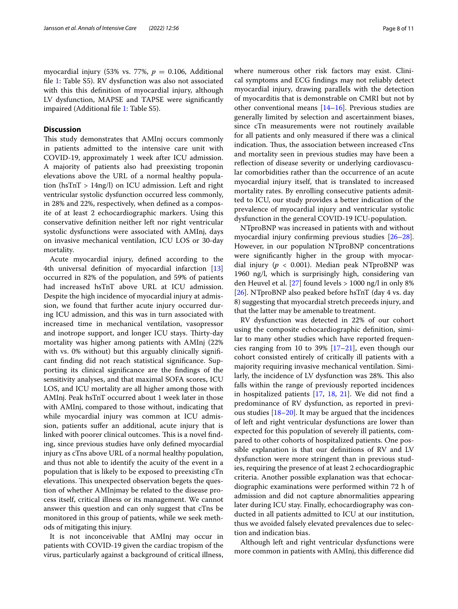myocardial injury (53% vs. 77%,  $p = 0.106$ , Additional fle [1](#page-8-0): Table S5). RV dysfunction was also not associated with this this defnition of myocardial injury, although LV dysfunction, MAPSE and TAPSE were signifcantly impaired (Additional fle [1](#page-8-0): Table S5).

## **Discussion**

This study demonstrates that AMInj occurs commonly in patients admitted to the intensive care unit with COVID-19, approximately 1 week after ICU admission. A majority of patients also had preexisting troponin elevations above the URL of a normal healthy population (hsTnT > 14ng/l) on ICU admission. Left and right ventricular systolic dysfunction occurred less commonly, in 28% and 22%, respectively, when defned as a composite of at least 2 echocardiographic markers. Using this conservative defnition neither left nor right ventricular systolic dysfunctions were associated with AMInj, days on invasive mechanical ventilation, ICU LOS or 30-day mortality.

Acute myocardial injury, defned according to the 4th universal defnition of myocardial infarction [[13](#page-9-9)] occurred in 82% of the population, and 59% of patients had increased hsTnT above URL at ICU admission. Despite the high incidence of myocardial injury at admission, we found that further acute injury occurred during ICU admission, and this was in turn associated with increased time in mechanical ventilation, vasopressor and inotrope support, and longer ICU stays. Thirty-day mortality was higher among patients with AMInj (22% with vs. 0% without) but this arguably clinically signifcant fnding did not reach statistical signifcance. Supporting its clinical signifcance are the fndings of the sensitivity analyses, and that maximal SOFA scores, ICU LOS, and ICU mortality are all higher among those with AMInj. Peak hsTnT occurred about 1 week later in those with AMInj, compared to those without, indicating that while myocardial injury was common at ICU admission, patients suffer an additional, acute injury that is linked with poorer clinical outcomes. This is a novel finding, since previous studies have only defned myocardial injury as cTns above URL of a normal healthy population, and thus not able to identify the acuity of the event in a population that is likely to be exposed to preexisting cTn elevations. This unexpected observation begets the question of whether AMInjmay be related to the disease process itself, critical illness or its management. We cannot answer this question and can only suggest that cTns be monitored in this group of patients, while we seek methods of mitigating this injury.

It is not inconceivable that AMInj may occur in patients with COVID-19 given the cardiac tropism of the virus, particularly against a background of critical illness, where numerous other risk factors may exist. Clinical symptoms and ECG fndings may not reliably detect myocardial injury, drawing parallels with the detection of myocarditis that is demonstrable on CMRI but not by other conventional means [[14–](#page-9-19)[16\]](#page-9-20). Previous studies are generally limited by selection and ascertainment biases, since cTn measurements were not routinely available for all patients and only measured if there was a clinical indication. Thus, the association between increased cTns and mortality seen in previous studies may have been a reflection of disease severity or underlying cardiovascular comorbidities rather than the occurrence of an acute myocardial injury itself, that is translated to increased mortality rates. By enrolling consecutive patients admitted to ICU, our study provides a better indication of the prevalence of myocardial injury and ventricular systolic dysfunction in the general COVID-19 ICU-population.

NTproBNP was increased in patients with and without myocardial injury confrming previous studies [[26](#page-10-1)[–28](#page-10-2)]. However, in our population NTproBNP concentrations were signifcantly higher in the group with myocardial injury (*p* < 0.001). Median peak NTproBNP was 1960 ng/l, which is surprisingly high, considering van den Heuvel et al. [\[27](#page-10-3)] found levels > 1000 ng/l in only 8% [[26\]](#page-10-1). NTproBNP also peaked before hsTnT (day 4 vs. day 8) suggesting that myocardial stretch preceeds injury, and that the latter may be amenable to treatment.

RV dysfunction was detected in 22% of our cohort using the composite echocardiographic defnition, similar to many other studies which have reported frequencies ranging from 10 to 39% [\[17](#page-9-10)–[21\]](#page-9-14), even though our cohort consisted entirely of critically ill patients with a majority requiring invasive mechanical ventilation. Similarly, the incidence of LV dysfunction was 28%. This also falls within the range of previously reported incidences in hospitalized patients [\[17,](#page-9-10) [18,](#page-9-11) [21\]](#page-9-14). We did not fnd a predominance of RV dysfunction, as reported in previous studies [[18–](#page-9-11)[20\]](#page-9-13). It may be argued that the incidences of left and right ventricular dysfunctions are lower than expected for this population of severely ill patients, compared to other cohorts of hospitalized patients. One possible explanation is that our defnitions of RV and LV dysfunction were more stringent than in previous studies, requiring the presence of at least 2 echocardiographic criteria. Another possible explanation was that echocardiographic examinations were performed within 72 h of admission and did not capture abnormalities appearing later during ICU stay. Finally, echocardiography was conducted in all patients admitted to ICU at our institution, thus we avoided falsely elevated prevalences due to selection and indication bias.

Although left and right ventricular dysfunctions were more common in patients with AMInj, this diference did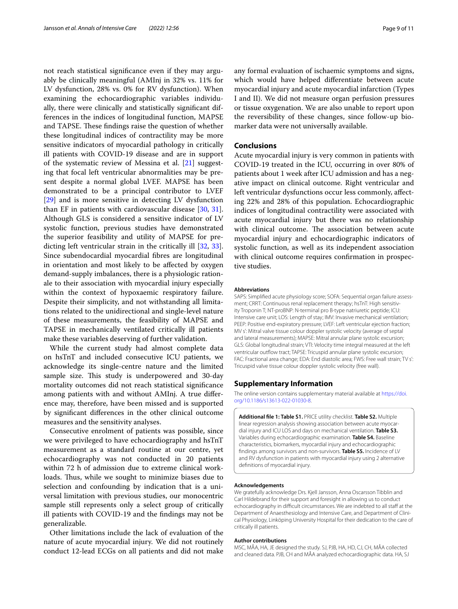not reach statistical signifcance even if they may arguably be clinically meaningful (AMInj in 32% vs. 11% for LV dysfunction, 28% vs. 0% for RV dysfunction). When examining the echocardiographic variables individually, there were clinically and statistically signifcant differences in the indices of longitudinal function, MAPSE and TAPSE. These findings raise the question of whether these longitudinal indices of contractility may be more sensitive indicators of myocardial pathology in critically ill patients with COVID-19 disease and are in support of the systematic review of Messina et al. [\[21](#page-9-14)] suggesting that focal left ventricular abnormalities may be present despite a normal global LVEF. MAPSE has been demonstrated to be a principal contributor to LVEF [[29\]](#page-10-4) and is more sensitive in detecting LV dysfunction than EF in patients with cardiovascular disease [[30,](#page-10-5) [31](#page-10-6)]. Although GLS is considered a sensitive indicator of LV systolic function, previous studies have demonstrated the superior feasibility and utility of MAPSE for predicting left ventricular strain in the critically ill [[32,](#page-10-7) [33](#page-10-8)]. Since subendocardial myocardial fbres are longitudinal in orientation and most likely to be afected by oxygen demand-supply imbalances, there is a physiologic rationale to their association with myocardial injury especially within the context of hypoxaemic respiratory failure. Despite their simplicity, and not withstanding all limitations related to the unidirectional and single-level nature of these measurements, the feasibility of MAPSE and TAPSE in mechanically ventilated critically ill patients make these variables deserving of further validation.

While the current study had almost complete data on hsTnT and included consecutive ICU patients, we acknowledge its single-centre nature and the limited sample size. This study is underpowered and 30-day mortality outcomes did not reach statistical signifcance among patients with and without AMInj. A true diference may, therefore, have been missed and is supported by signifcant diferences in the other clinical outcome measures and the sensitivity analyses.

Consecutive enrolment of patients was possible, since we were privileged to have echocardiography and hsTnT measurement as a standard routine at our centre, yet echocardiography was not conducted in 20 patients within 72 h of admission due to extreme clinical workloads. Thus, while we sought to minimize biases due to selection and confounding by indication that is a universal limitation with previous studies, our monocentric sample still represents only a select group of critically ill patients with COVID-19 and the fndings may not be generalizable.

Other limitations include the lack of evaluation of the nature of acute myocardial injury. We did not routinely conduct 12-lead ECGs on all patients and did not make any formal evaluation of ischaemic symptoms and signs, which would have helped diferentiate between acute myocardial injury and acute myocardial infarction (Types I and II). We did not measure organ perfusion pressures or tissue oxygenation. We are also unable to report upon the reversibility of these changes, since follow-up biomarker data were not universally available.

## **Conclusions**

Acute myocardial injury is very common in patients with COVID-19 treated in the ICU, occurring in over 80% of patients about 1 week after ICU admission and has a negative impact on clinical outcome. Right ventricular and left ventricular dysfunctions occur less commonly, afecting 22% and 28% of this population. Echocardiographic indices of longitudinal contractility were associated with acute myocardial injury but there was no relationship with clinical outcome. The association between acute myocardial injury and echocardiographic indicators of systolic function, as well as its independent association with clinical outcome requires confrmation in prospective studies.

#### **Abbreviations**

SAPS: Simplifed acute physiology score; SOFA: Sequential organ failure assessment; CRRT: Continuous renal replacement therapy; hsTnT: High sensitivity Troponin T; NT-proBNP: N-terminal pro B-type natriuretic peptide; ICU: Intensive care unit; LOS: Length of stay; IMV: Invasive mechanical ventilation; PEEP: Positive end-expiratory pressure; LVEF: Left ventricular ejection fraction; MV s': Mitral valve tissue colour doppler systolic velocity (average of septal and lateral measurements); MAPSE: Mitral annular plane systolic excursion; GLS: Global longitudinal strain; VTI: Velocity time integral measured at the left ventricular outflow tract; TAPSE: Tricuspid annular plane systolic excursion; FAC: Fractional area change; EDA: End diastolic area; FWS: Free wall strain; TV s': Tricuspid valve tissue colour doppler systolic velocity (free wall).

#### **Supplementary Information**

The online version contains supplementary material available at [https://doi.](https://doi.org/10.1186/s13613-022-01030-8) [org/10.1186/s13613-022-01030-8](https://doi.org/10.1186/s13613-022-01030-8).

<span id="page-8-0"></span>**Additional fle 1: Table S1.** PRICE utility checklist. **Table S2.** Multiple linear regression analysis showing association between acute myocardial injury and ICU LOS and days on mechanical ventilation. **Table S3.** Variables during echocardiographic examination. **Table S4.** Baseline characteristics, biomarkers, myocardial injury and echocardiographic fndings among survivors and non-survivors. **Table S5.** Incidence of LV and RV dysfunction in patients with myocardial injury using 2 alternative defnitions of myocardial injury.

#### **Acknowledgements**

We gratefully acknowledge Drs. Kjell Jansson, Anna Oscarsson Tibblin and Carl Hildebrand for their support and foresight in allowing us to conduct echocardiography in difficult circumstances. We are indebted to all staff at the Department of Anaesthesiology and Intensive Care, and Department of Clinical Physiology, Linköping University Hospital for their dedication to the care of critically ill patients.

#### **Author contributions**

MSC, MÅA, HA, JE designed the study. SJ, PJB, HA, HD, CJ, CH, MÅA collected and cleaned data. PJB, CH and MÅA analyzed echocardiographic data. HA, SJ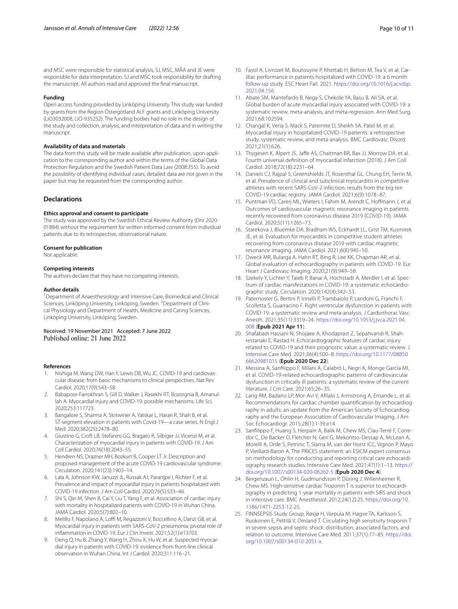and MSC were responsible for statistical analysis, SJ, MSC, MÅA and JE were responsible for data interpretation. SJ and MSC took responsibility for drafting the manuscript. All authors read and approved the fnal manuscript.

#### **Funding**

Open access funding provided by Linköping University. This study was funded by grants from the Region Östergötland ALF grants and Linköping University (LiO3032008, LiO-935252). The funding bodies had no role in the design of the study and collection, analysis, and interpretation of data and in writing the manuscript.

#### **Availability of data and materials**

The data from this study will be made available after publication, upon application to the corresponding author and within the terms of the Global Data Protection Regulation and the Swedish Patient Data Law (2008:355). To avoid the possibility of identifying individual cases, detailed data are not given in the paper but may be requested from the corresponding author.

### **Declarations**

#### **Ethics approval and consent to participate**

The study was approved by the Swedish Ethical Review Authority (Dnr 2020- 01884) without the requirement for written informed consent from individual patients due to its retrospective, observational nature.

#### **Consent for publication**

Not applicable.

#### **Competing interests**

The authors declare that they have no competing interests.

#### **Author details**

<sup>1</sup> Department of Anaesthesiology and Intensive Care, Biomedical and Clinical Sciences, Linköping University, Linköping, Sweden. <sup>2</sup> Department of Clinical Physiology and Department of Health, Medicine and Caring Sciences, Linköping University, Linköping, Sweden.

Received: 19 November 2021 Accepted: 7 June 2022 Published online: 21 June 2022

#### **References**

- <span id="page-9-0"></span>1. Nishiga M, Wang DW, Han Y, Lewis DB, Wu JC. COVID-19 and cardiovascular disease: from basic mechanisms to clinical perspectives. Nat Rev Cardiol. 2020;17(9):543–58.
- <span id="page-9-1"></span>2. Babapoor-Farrokhran S, Gill D, Walker J, Rasekhi RT, Bozorgnia B, Amanullah A. Myocardial injury and COVID-19: possible mechanisms. Life Sci. 2020;253:117723.
- <span id="page-9-2"></span>3. Bangalore S, Sharma A, Slotwiner A, Yatskar L, Harari R, Shah B, et al. ST-segment elevation in patients with Covid-19—a case series. N Engl J Med. 2020;382(25):2478–80.
- <span id="page-9-3"></span>4. Giustino G, Croft LB, Stefanini GG, Bragato R, Silbiger JJ, Vicenzi M, et al. Characterization of myocardial injury in patients with COVID-19. J Am Coll Cardiol. 2020;76(18):2043–55.
- 5. Hendren NS, Drazner MH, Bozkurt B, Cooper LT Jr. Description and proposed management of the acute COVID-19 cardiovascular syndrome. Circulation. 2020;141(23):1903–14.
- <span id="page-9-5"></span>6. Lala A, Johnson KW, Januzzi JL, Russak AJ, Paranjpe I, Richter F, et al. Prevalence and impact of myocardial injury in patients hospitalized with COVID-19 infection. J Am Coll Cardiol. 2020;76(5):533–46.
- <span id="page-9-6"></span>7. Shi S, Qin M, Shen B, Cai Y, Liu T, Yang F, et al. Association of cardiac injury with mortality in hospitalized patients with COVID-19 in Wuhan China. JAMA Cardiol. 2020;5(7):802–10.
- Melillo F, Napolano A, Loffi M, Regazzoni V, Boccellino A, Danzi GB, et al. Myocardial injury in patients with SARS-CoV-2 pneumonia: pivotal role of infammation in COVID-19. Eur J Clin Invest. 2021;52(1):e13703.
- Deng Q, Hu B, Zhang Y, Wang H, Zhou X, Hu W, et al. Suspected myocardial injury in patients with COVID-19: evidence from front-line clinical observation in Wuhan China. Int J Cardiol. 2020;311:116–21.
- <span id="page-9-4"></span>10. Fayol A, Livrozet M, Boutouyrie P, Khettab H, Betton M, Tea V, et al. Cardiac performance in patients hospitalized with COVID-19: a 6 month follow-up study. ESC Heart Fail. 2021. [https://doi.org/10.1016/j.acvdsp.](https://doi.org/10.1016/j.acvdsp.2021.04.156) [2021.04.156](https://doi.org/10.1016/j.acvdsp.2021.04.156).
- <span id="page-9-7"></span>11. Abate SM, Mantefardo B, Nega S, Chekole YA, Basu B, Ali SA, et al. Global burden of acute myocardial injury associated with COVID-19: a systematic review, meta-analysis, and meta-regression. Ann Med Surg. 2021;68:102594.
- <span id="page-9-8"></span>12. Changal K, Veria S, Mack S, Paternite D, Sheikh SA, Patel M, et al. Myocardial injury in hospitalized COVID-19 patients: a retrospective study, systematic review, and meta-analysis. BMC Cardiovasc Disord. 2021;21(1):626.
- <span id="page-9-9"></span>13. Thygesen K, Alpert JS, Jafe AS, Chaitman BR, Bax JJ, Morrow DA, et al. Fourth universal defnition of myocardial infarction (2018). J Am Coll Cardiol. 2018;72(18):2231–64.
- <span id="page-9-19"></span>14. Daniels CJ, Rajpal S, Greenshields JT, Rosenthal GL, Chung EH, Terrin M, et al. Prevalence of clinical and subclinical myocarditis in competitive athletes with recent SARS-CoV-2 infection: results from the big ten COVID-19 cardiac registry. JAMA Cardiol. 2021;6(9):1078–87.
- 15. Puntman VO, Carerj ML, Wieters I, Fahim M, Arendt C, Hofmann J, et al. Outcomes of cardiovascular magnetic resonance imaging in patients recently recovered from coronavirus disease 2019 (COVID-19). JAMA Cardiol. 2020;5(11):1265–73.
- <span id="page-9-20"></span>16. Starekova J, Bluemke DA, Bradham WS, Eckhardt LL, Grist TM, Kusmirek JE, et al. Evaluation for myocarditis in competitive student athletes recovering from coronavirus disease 2019 with cardiac magnetic resonance imaging. JAMA Cardiol. 2021;6(8):945–50.
- <span id="page-9-10"></span>17. Dweck MR, Bularga A, Hahn RT, Bing R, Lee KK, Chapman AR, et al. Global evaluation of echocardiography in patients with COVID-19. Eur Heart J Cardiovasc Imaging. 2020;21(9):949–58.
- <span id="page-9-11"></span>18. Szekely Y, Lichter Y, Taieb P, Banai A, Hochstadt A, Merdler I, et al. Spectrum of cardiac manifestations in COVID-19: a systematic echocardiographic study. Circulation. 2020;142(4):342–53.
- <span id="page-9-12"></span>19. Paternoster G, Bertini P, Innelli P, Trambaiolo P, Landoni G, Franchi F, Scolletta S, Guarracino F. Right ventricular dysfunction in patients with COVID-19: a systematic review and meta-analysis. J Cardiothorac Vasc Anesth. 2021;35(11):3319–24. [https://doi.org/10.1053/j.jvca.2021.04.](https://doi.org/10.1053/j.jvca.2021.04.008) [008](https://doi.org/10.1053/j.jvca.2021.04.008) (**Epub 2021 Apr 11**).
- <span id="page-9-13"></span>20. Shafabadi Hassani N, Shojaee A, Khodaprast Z, Sepahvandi R, Shahrestanaki E, Rastad H. Echocardiographic features of cardiac injury related to COVID-19 and their prognostic value: a systematic review. J Intensive Care Med. 2021;36(4):500–8. [https://doi.org/10.1177/08850](https://doi.org/10.1177/0885066620981015) [66620981015](https://doi.org/10.1177/0885066620981015) (**Epub 2020 Dec 22**).
- <span id="page-9-14"></span>21. Messina A, Sanflippo F, Milani A, Calabrò L, Negri K, Monge García MI, et al. COVID-19-related echocardiographic patterns of cardiovascular dysfunction in critically ill patients: a systematic review of the current literature. J Crit Care. 2021;65:26–35.
- <span id="page-9-15"></span>22. Lang RM, Badano LP, Mor-Avi V, Aflalo J, Armstrong A, Ernande L, et al. Recommendations for cardiac chamber quantifcation by echocardiography in adults: an update from the American Society of Echocardiography and the European Association of Cardiovascular Imaging. J Am Soc Echocardiogr. 2015;28(1):1-39.e14.
- <span id="page-9-16"></span>23. Sanflippo F, Huang S, Herpain A, Balik M, Chew MS, Clau-Terré F, Corredor C, De Backer D, Fletcher N, Geri G, Mekontso-Dessap A, McLean A, Morelli A, Orde S, Petrinic T, Slama M, van der Horst ICC, Vignon P, Mayo P, Vieillard-Baron A. The PRICES statement: an ESICM expert consensus on methodology for conducting and reporting critical care echocardiography research studies. Intensive Care Med. 2021;47(1):1–13. [https://](https://doi.org/10.1007/s00134-020-06262-5) [doi.org/10.1007/s00134-020-06262-5](https://doi.org/10.1007/s00134-020-06262-5) (**Epub 2020 Dec 4**).
- <span id="page-9-17"></span>24. Bergenzaun L, Ohlin H, Gudmundsson P, Düring J, Willenheimer R, Chew MS. High-sensitive cardiac Troponin T is superior to echocardiography in predicting 1-year mortality in patients with SIRS and shock in intensive care. BMC Anesthesiol. 2012;24(12):25. [https://doi.org/10.](https://doi.org/10.1186/1471-2253-12-25) [1186/1471-2253-12-25.](https://doi.org/10.1186/1471-2253-12-25)
- <span id="page-9-18"></span>25. FINNSEPSIS Study Group, Røsjø H, Varpula M, Hagve TA, Karlsson S, Ruokonen E, Pettilä V, Omland T. Circulating high sensitivity troponin T in severe sepsis and septic shock: distribution, associated factors, and relation to outcome. Intensive Care Med. 2011;37(1):77–85. [https://doi.](https://doi.org/10.1007/s00134-010-2051-x) [org/10.1007/s00134-010-2051-x](https://doi.org/10.1007/s00134-010-2051-x).